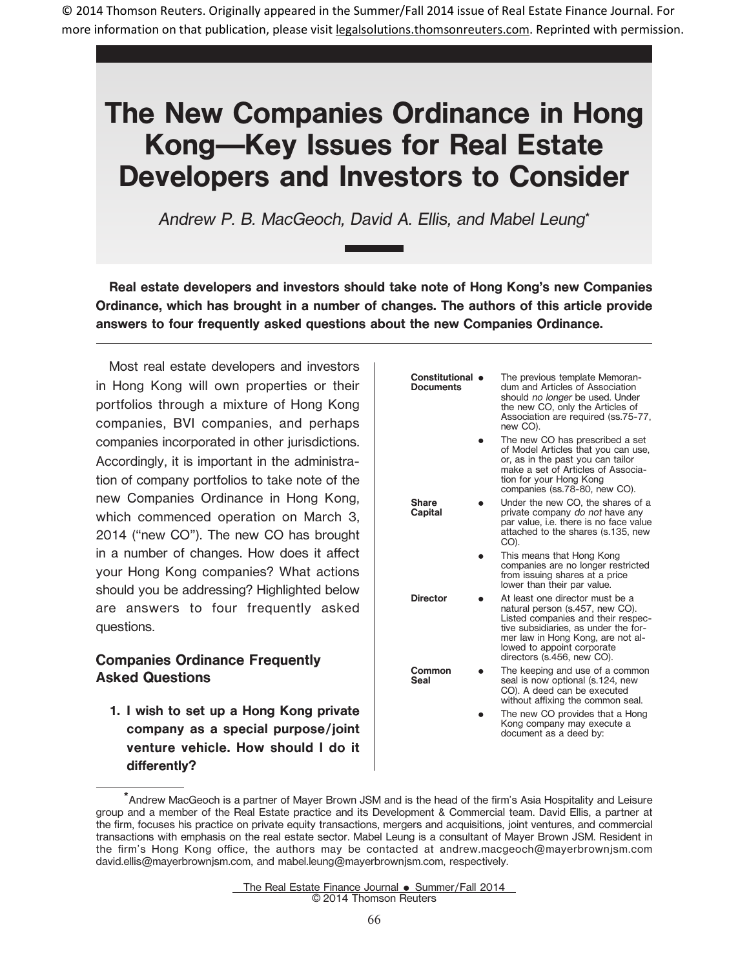© 2014 Thomson Reuters. Originally appeared in the Summer/Fall 2014 issue of Real Estate Finance Journal. For more information on that publication, please visit legalsolutions.thomsonreuters.com. Reprinted with permission.

# **The New Companies Ordinance in Hong Kong—Key Issues for Real Estate Developers and Investors to Consider**

Andrew P. B. MacGeoch, David A. Ellis, and Mabel Leung**\***

**Real estate developers and investors should take note of Hong Kong's new Companies Ordinance, which has brought in a number of changes. The authors of this article provide answers to four frequently asked questions about the new Companies Ordinance.**

Most real estate developers and investors in Hong Kong will own properties or their portfolios through a mixture of Hong Kong companies, BVI companies, and perhaps companies incorporated in other jurisdictions. Accordingly, it is important in the administration of company portfolios to take note of the new Companies Ordinance in Hong Kong, which commenced operation on March 3, 2014 ("new CO"). The new CO has brought in a number of changes. How does it affect your Hong Kong companies? What actions should you be addressing? Highlighted below are answers to four frequently asked questions.

## **Companies Ordinance Frequently Asked Questions**

**1. I wish to set up a Hong Kong private company as a special purpose/joint venture vehicle. How should I do it** differently?

| Constitutional $\bullet$<br><b>Documents</b> | The previous template Memoran-<br>dum and Articles of Association<br>should no longer be used. Under<br>the new CO, only the Articles of<br>Association are required (ss.75-77,<br>new CO).                                                       |
|----------------------------------------------|---------------------------------------------------------------------------------------------------------------------------------------------------------------------------------------------------------------------------------------------------|
|                                              | The new CO has prescribed a set<br>of Model Articles that you can use,<br>or, as in the past you can tailor<br>make a set of Articles of Associa-<br>tion for your Hong Kong<br>companies (ss.78-80, new CO).                                     |
| <b>Share</b><br>Capital                      | Under the new CO, the shares of a<br>private company do not have any<br>par value, i.e. there is no face value<br>attached to the shares (s.135, new<br>CO).                                                                                      |
|                                              | This means that Hong Kong<br>companies are no longer restricted<br>from issuing shares at a price<br>lower than their par value.                                                                                                                  |
| <b>Director</b>                              | At least one director must be a<br>natural person (s.457, new CO).<br>Listed companies and their respec-<br>tive subsidiaries, as under the for-<br>mer law in Hong Kong, are not al-<br>lowed to appoint corporate<br>directors (s.456, new CO). |
| Common<br>Seal                               | The keeping and use of a common<br>seal is now optional (s.124, new<br>CO). A deed can be executed<br>without affixing the common seal.                                                                                                           |

E The new CO provides that a Hong Kong company may execute a document as a deed by:

The Real Estate Finance Journal . Summer/Fall 2014 © 2014 Thomson Reuters

<sup>\*</sup>Andrew MacGeoch is a partner of Mayer Brown JSM and is the head of the firm's Asia Hospitality and Leisure group and a member of the Real Estate practice and its Development & Commercial team. David Ellis, a partner at the firm, focuses his practice on private equity transactions, mergers and acquisitions, joint ventures, and commercial transactions with emphasis on the real estate sector. Mabel Leung is a consultant of Mayer Brown JSM. Resident in the firm's Hong Kong office, the authors may be contacted at andrew.macgeoch@mayerbrownjsm.com david.ellis@mayerbrownjsm.com, and mabel.leung@mayerbrownjsm.com, respectively.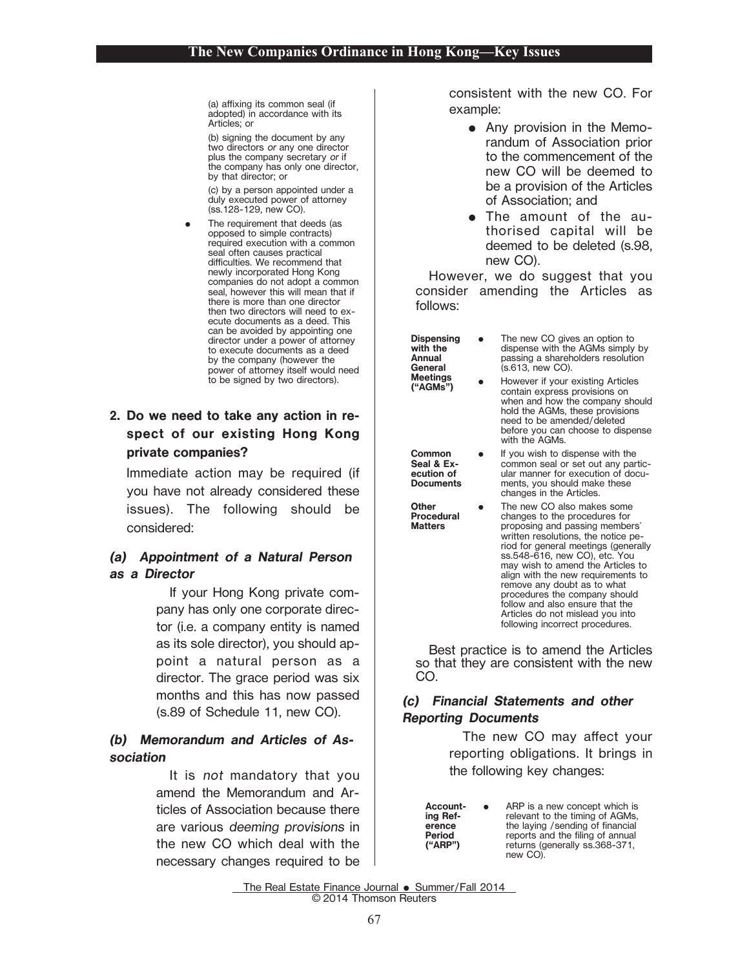(a) affixing its common seal (if adopted) in accordance with its Articles; or

(b) signing the document by any two directors or any one director plus the company secretary or if the company has only one director, by that director; or

(c) by a person appointed under a duly executed power of attorney (ss.128-129, new CO).

E The requirement that deeds (as opposed to simple contracts) required execution with a common seal often causes practical difficulties. We recommend that newly incorporated Hong Kong companies do not adopt a common seal, however this will mean that if there is more than one director then two directors will need to execute documents as a deed. This can be avoided by appointing one director under a power of attorney to execute documents as a deed by the company (however the power of attorney itself would need to be signed by two directors).

## **2. Do we need to take any action in respect of our existing Hong Kong private companies?**

Immediate action may be required (if you have not already considered these issues). The following should be considered:

## **(a) Appointment of <sup>a</sup> Natural Person as a Director**

If your Hong Kong private company has only one corporate director (i.e. a company entity is named as its sole director), you should appoint a natural person as a director. The grace period was six months and this has now passed (s.89 of Schedule 11, new CO).

### **(b) Memorandum and Articles of Association**

It is not mandatory that you amend the Memorandum and Articles of Association because there are various deeming provisions in the new CO which deal with the necessary changes required to be consistent with the new CO. For example:

- $\bullet$  Any provision in the Memorandum of Association prior to the commencement of the new CO will be deemed to be a provision of the Articles of Association; and
- The amount of the authorised capital will be deemed to be deleted (s.98, new CO).

However, we do suggest that you consider amending the Articles as follows:

- **Dispensing with the Annual General Meetings ("AGMs")** EE
	- The new CO gives an option to dispense with the AGMs simply by passing a shareholders resolution (s.613, new CO).
	- However if your existing Articles contain express provisions on when and how the company should hold the AGMs, these provisions need to be amended/deleted before you can choose to dispense with the AGMs.

**Common Seal & Execution of Documents** E If you wish to dispense with the common seal or set out any particular manner for execution of docu-

**Other Procedural Matters**

ments, you should make these changes in the Articles. E The new CO also makes some changes to the procedures for proposing and passing members' written resolutions, the notice period for general meetings (generally ss.548-616, new CO), etc. You may wish to amend the Articles to align with the new requirements to remove any doubt as to what procedures the company should follow and also ensure that the Articles do not mislead you into following incorrect procedures.

Best practice is to amend the Articles so that they are consistent with the new CO.

### **(c) Financial Statements and other Reporting Documents**

The new CO may affect your reporting obligations. It brings in the following key changes:

**Accounting Reference Period ("ARP")**

**e** 

 ARP is a new concept which is relevant to the timing of AGMs, the laying / sending of financial reports and the filing of annual returns (generally ss.368-371, new CO).

The Real Estate Finance Journal . Summer/Fall 2014 © 2014 Thomson Reuters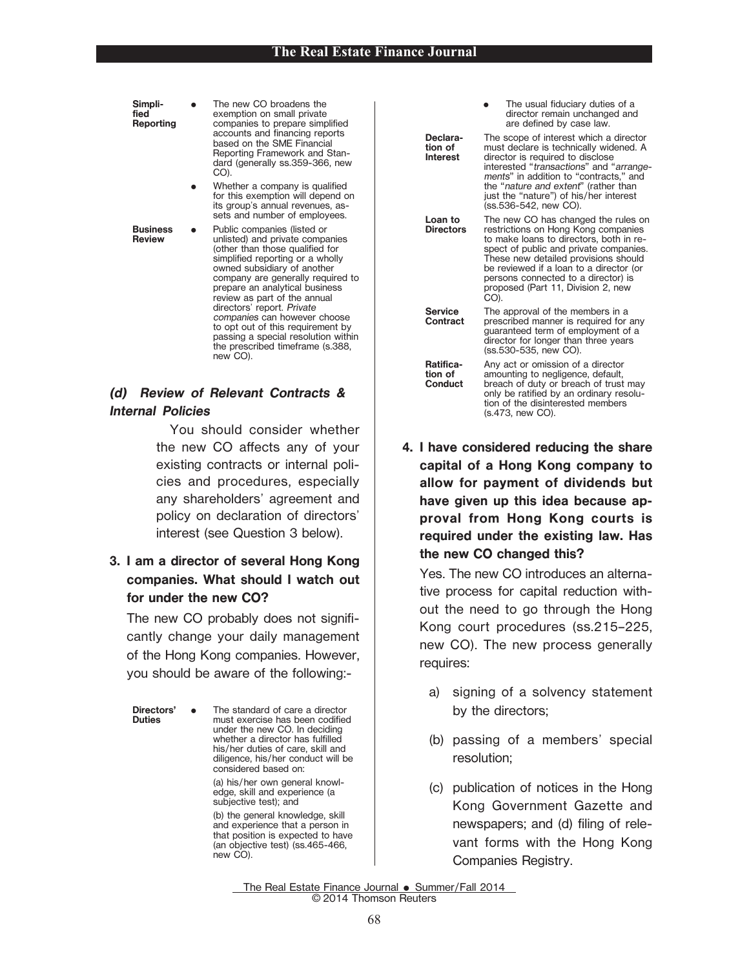**tion of Interest**

**Loan to Directors**

**Reporting** E The new CO broadens the exemption on small private companies to prepare simplified<br>accounts and financing reports based on the SME Financial Reporting Framework and Standard (generally ss.359-366, new CO).

> E• Whether a company is qualified for this exemption will depend on its group's annual revenues, assets and number of employees. E

**Business Review**

**Simpli** fied<sup>1</sup>

> Public companies (listed or unlisted) and private companies (other than those qualified for simplified reporting or a wholly owned subsidiary of another company are generally required to prepare an analytical business review as part of the annual directors' report. Private companies can however choose to opt out of this requirement by passing a special resolution within the prescribed timeframe (s.388, new CO).

## **(d) Review of Relevant Contracts & Internal Policies**

You should consider whether the new CO affects any of your existing contracts or internal policies and procedures, especially any shareholders' agreement and policy on declaration of directors' interest (see Question 3 below).

## **3. I am a director of several Hong Kong companies. What should I watch out for under the new CO?**

The new CO probably does not significantly change your daily management of the Hong Kong companies. However, you should be aware of the following:-

**Directors' Directors'** • The standard of care a director<br>**Duties** must exercise has been codified under the new CO. In deciding whether a director has fulfilled his/her duties of care, skill and diligence, his/her conduct will be considered based on:

new CO).

(a) his/her own general knowledge, skill and experience (a subjective test); and (b) the general knowledge, skill and experience that a person in that position is expected to have (an objective test) (ss.465-466,

E• The usual fiduciary duties of a director remain unchanged and are defined by case law. **Declara-**The scope of interest which a director must declare is technically widened. A director is required to disclose interested "transactions" and "arrangements" in addition to "contracts," and the "nature and extent" (rather than just the "nature") of his/her interest (ss.536-542, new CO).

> The new CO has changed the rules on restrictions on Hong Kong companies to make loans to directors, both in respect of public and private companies. These new detailed provisions should be reviewed if a loan to a director (or persons connected to a director) is proposed (Part 11, Division 2, new CO).

**Service Contract** The approval of the members in a prescribed manner is required for any guaranteed term of employment of a director for longer than three years (ss.530-535, new CO). **Ratifica-**

**tion of Conduct** Any act or omission of a director amounting to negligence, default, breach of duty or breach of trust may only be ratified by an ordinary resolution of the disinterested members (s.473, new CO).

**4. I have considered reducing the share capital of a Hong Kong company to allow for payment of dividends but have given up this idea because approval from Hong Kong courts is required under the existing law. Has the new CO changed this?**

Yes. The new CO introduces an alternative process for capital reduction without the need to go through the Hong Kong court procedures (ss.215–225, new CO). The new process generally requires:

- a) signing of a solvency statement by the directors;
- (b) passing of a members' special resolution;
- (c) publication of notices in the Hong Kong Government Gazette and newspapers; and (d) filing of relevant forms with the Hong Kong Companies Registry.